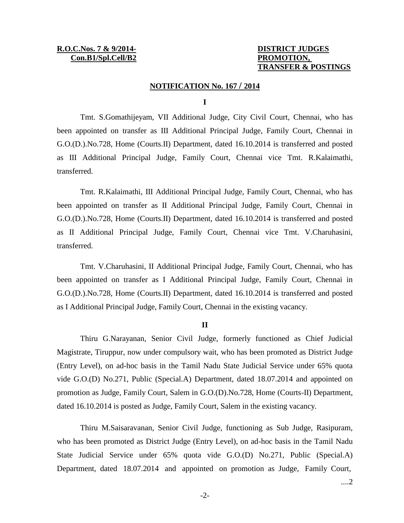# **TRANSFER & POSTINGS**

# **NOTIFICATION No. 167 / 2014**

## **I**

Tmt. S.Gomathijeyam, VII Additional Judge, City Civil Court, Chennai, who has been appointed on transfer as III Additional Principal Judge, Family Court, Chennai in G.O.(D.).No.728, Home (Courts.II) Department, dated 16.10.2014 is transferred and posted as III Additional Principal Judge, Family Court, Chennai vice Tmt. R.Kalaimathi, transferred.

Tmt. R.Kalaimathi, III Additional Principal Judge, Family Court, Chennai, who has been appointed on transfer as II Additional Principal Judge, Family Court, Chennai in G.O.(D.).No.728, Home (Courts.II) Department, dated 16.10.2014 is transferred and posted as II Additional Principal Judge, Family Court, Chennai vice Tmt. V.Charuhasini, transferred.

Tmt. V.Charuhasini, II Additional Principal Judge, Family Court, Chennai, who has been appointed on transfer as I Additional Principal Judge, Family Court, Chennai in G.O.(D.).No.728, Home (Courts.II) Department, dated 16.10.2014 is transferred and posted as I Additional Principal Judge, Family Court, Chennai in the existing vacancy.

## **II**

Thiru G.Narayanan, Senior Civil Judge, formerly functioned as Chief Judicial Magistrate, Tiruppur, now under compulsory wait, who has been promoted as District Judge (Entry Level), on ad-hoc basis in the Tamil Nadu State Judicial Service under 65% quota vide G.O.(D) No.271, Public (Special.A) Department, dated 18.07.2014 and appointed on promotion as Judge, Family Court, Salem in G.O.(D).No.728, Home (Courts-II) Department, dated 16.10.2014 is posted as Judge, Family Court, Salem in the existing vacancy.

Thiru M.Saisaravanan, Senior Civil Judge, functioning as Sub Judge, Rasipuram, who has been promoted as District Judge (Entry Level), on ad-hoc basis in the Tamil Nadu State Judicial Service under 65% quota vide G.O.(D) No.271, Public (Special.A) Department, dated 18.07.2014 and appointed on promotion as Judge, Family Court,

....2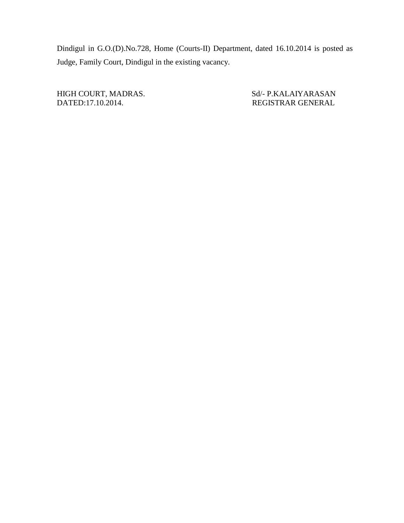Dindigul in G.O.(D).No.728, Home (Courts-II) Department, dated 16.10.2014 is posted as Judge, Family Court, Dindigul in the existing vacancy.

HIGH COURT, MADRAS. Sd/- P.KALAIYARASAN<br>DATED:17.10.2014. REGISTRAR GENERAL

REGISTRAR GENERAL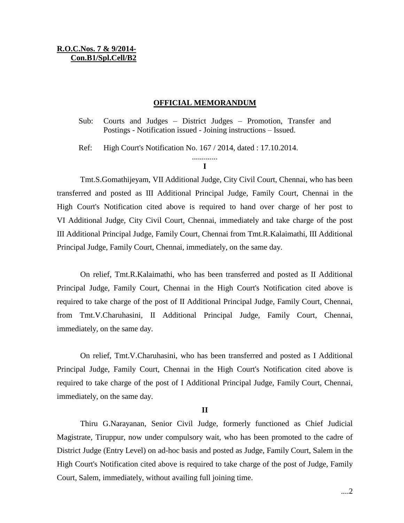# **R.O.C.Nos. 7 & 9/2014- Con.B1/Spl.Cell/B2**

# **OFFICIAL MEMORANDUM**

Sub: Courts and Judges – District Judges – Promotion, Transfer and Postings - Notification issued - Joining instructions – Issued.

Ref: High Court's Notification No. 167 / 2014, dated : 17.10.2014.

#### ............. **I**

Tmt.S.Gomathijeyam, VII Additional Judge, City Civil Court, Chennai, who has been transferred and posted as III Additional Principal Judge, Family Court, Chennai in the High Court's Notification cited above is required to hand over charge of her post to VI Additional Judge, City Civil Court, Chennai, immediately and take charge of the post III Additional Principal Judge, Family Court, Chennai from Tmt.R.Kalaimathi, III Additional Principal Judge, Family Court, Chennai, immediately, on the same day.

On relief, Tmt.R.Kalaimathi, who has been transferred and posted as II Additional Principal Judge, Family Court, Chennai in the High Court's Notification cited above is required to take charge of the post of II Additional Principal Judge, Family Court, Chennai, from Tmt.V.Charuhasini, II Additional Principal Judge, Family Court, Chennai, immediately, on the same day.

On relief, Tmt.V.Charuhasini, who has been transferred and posted as I Additional Principal Judge, Family Court, Chennai in the High Court's Notification cited above is required to take charge of the post of I Additional Principal Judge, Family Court, Chennai, immediately, on the same day.

## **II**

Thiru G.Narayanan, Senior Civil Judge, formerly functioned as Chief Judicial Magistrate, Tiruppur, now under compulsory wait, who has been promoted to the cadre of District Judge (Entry Level) on ad-hoc basis and posted as Judge, Family Court, Salem in the High Court's Notification cited above is required to take charge of the post of Judge, Family Court, Salem, immediately, without availing full joining time.